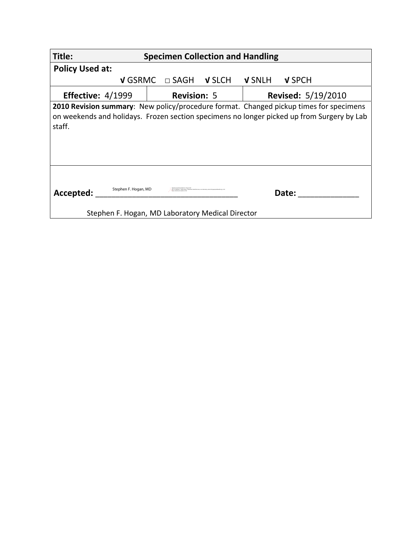| Title:                                                                                                                                                                                                | <b>Specimen Collection and Handling</b>                                                                                          |               |               |                           |
|-------------------------------------------------------------------------------------------------------------------------------------------------------------------------------------------------------|----------------------------------------------------------------------------------------------------------------------------------|---------------|---------------|---------------------------|
| <b>Policy Used at:</b>                                                                                                                                                                                |                                                                                                                                  |               |               |                           |
| <b>V</b> GSRMC                                                                                                                                                                                        | $\Box$ SAGH                                                                                                                      | <b>V SLCH</b> | <b>V SNLH</b> | V SPCH                    |
| Effective: $4/1999$                                                                                                                                                                                   | <b>Revision: 5</b>                                                                                                               |               |               | <b>Revised: 5/19/2010</b> |
| <b>2010 Revision summary:</b> New policy/procedure format. Changed pickup times for specimens<br>on weekends and holidays. Frozen section specimens no longer picked up from Surgery by Lab<br>staff. |                                                                                                                                  |               |               |                           |
| Stephen F. Hogan, MD<br>Accepted:                                                                                                                                                                     | igned by Siephen F. Hogan, MD<br>ephen F. Hogan, MD, on Samarilan Health Ser<br>Stephen F. Hogan, MD Laboratory Medical Director |               |               | Date:                     |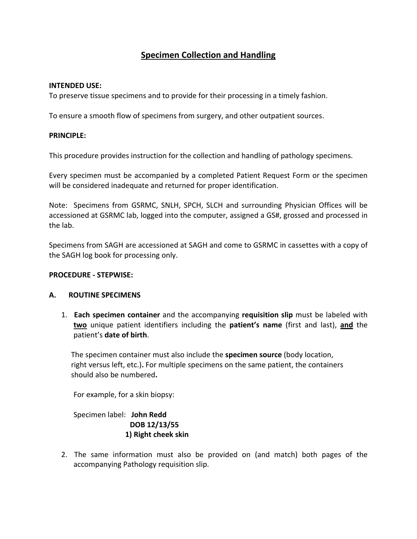# **Specimen Collection and Handling**

#### **INTENDED USE:**

To preserve tissue specimens and to provide for their processing in a timely fashion.

To ensure a smooth flow of specimens from surgery, and other outpatient sources.

## **PRINCIPLE:**

This procedure provides instruction for the collection and handling of pathology specimens.

Every specimen must be accompanied by a completed Patient Request Form or the specimen will be considered inadequate and returned for proper identification.

Note: Specimens from GSRMC, SNLH, SPCH, SLCH and surrounding Physician Offices will be accessioned at GSRMC lab, logged into the computer, assigned a GS#, grossed and processed in the lab.

Specimens from SAGH are accessioned at SAGH and come to GSRMC in cassettes with a copy of the SAGH log book for processing only.

## **PROCEDURE ‐ STEPWISE:**

## **A. ROUTINE SPECIMENS**

1. **Each specimen container** and the accompanying **requisition slip** must be labeled with **two** unique patient identifiers including the **patient's name** (first and last), **and** the patient's **date of birth**.

The specimen container must also include the **specimen source** (body location, right versus left, etc.)**.** For multiple specimens on the same patient, the containers should also be numbered**.**

For example, for a skin biopsy:

Specimen label: **John Redd DOB 12/13/55 1) Right cheek skin**

2. The same information must also be provided on (and match) both pages of the accompanying Pathology requisition slip.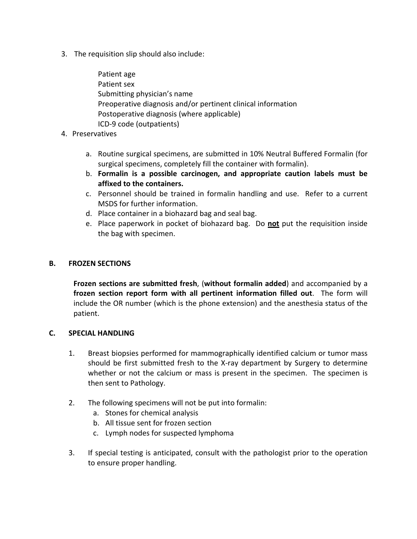- 3. The requisition slip should also include:
	- Patient age Patient sex Submitting physician's name Preoperative diagnosis and/or pertinent clinical information Postoperative diagnosis (where applicable) ICD‐9 code (outpatients)
- 4. Preservatives
	- a. Routine surgical specimens, are submitted in 10% Neutral Buffered Formalin (for surgical specimens, completely fill the container with formalin).
	- b. **Formalin is a possible carcinogen, and appropriate caution labels must be affixed to the containers.**
	- c. Personnel should be trained in formalin handling and use. Refer to a current MSDS for further information.
	- d. Place container in a biohazard bag and seal bag.
	- e. Place paperwork in pocket of biohazard bag. Do **not** put the requisition inside the bag with specimen.

## **B. FROZEN SECTIONS**

 **Frozen sections are submitted fresh**, (**without formalin added**) and accompanied by a **frozen section report form with all pertinent information filled out**. The form will include the OR number (which is the phone extension) and the anesthesia status of the patient.

## **C. SPECIAL HANDLING**

- 1. Breast biopsies performed for mammographically identified calcium or tumor mass should be first submitted fresh to the X‐ray department by Surgery to determine whether or not the calcium or mass is present in the specimen. The specimen is then sent to Pathology.
- 2. The following specimens will not be put into formalin:
	- a. Stones for chemical analysis
	- b. All tissue sent for frozen section
	- c. Lymph nodes for suspected lymphoma
- 3. If special testing is anticipated, consult with the pathologist prior to the operation to ensure proper handling.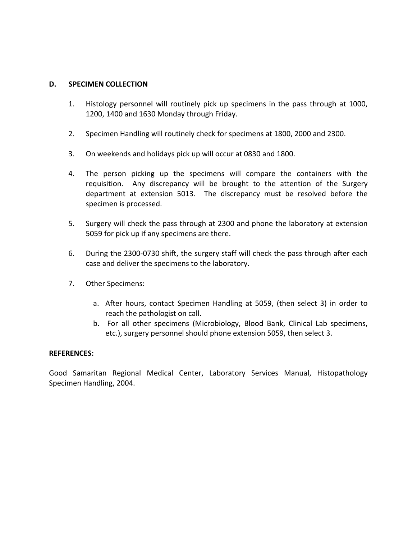## **D. SPECIMEN COLLECTION**

- 1. Histology personnel will routinely pick up specimens in the pass through at 1000, 1200, 1400 and 1630 Monday through Friday.
- 2. Specimen Handling will routinely check for specimens at 1800, 2000 and 2300.
- 3. On weekends and holidays pick up will occur at 0830 and 1800.
- 4. The person picking up the specimens will compare the containers with the requisition. Any discrepancy will be brought to the attention of the Surgery department at extension 5013. The discrepancy must be resolved before the specimen is processed.
- 5. Surgery will check the pass through at 2300 and phone the laboratory at extension 5059 for pick up if any specimens are there.
- 6. During the 2300‐0730 shift, the surgery staff will check the pass through after each case and deliver the specimens to the laboratory.
- 7. Other Specimens:
	- a. After hours, contact Specimen Handling at 5059, (then select 3) in order to reach the pathologist on call.
	- b. For all other specimens (Microbiology, Blood Bank, Clinical Lab specimens, etc.), surgery personnel should phone extension 5059, then select 3.

#### **REFERENCES:**

Good Samaritan Regional Medical Center, Laboratory Services Manual, Histopathology Specimen Handling, 2004.